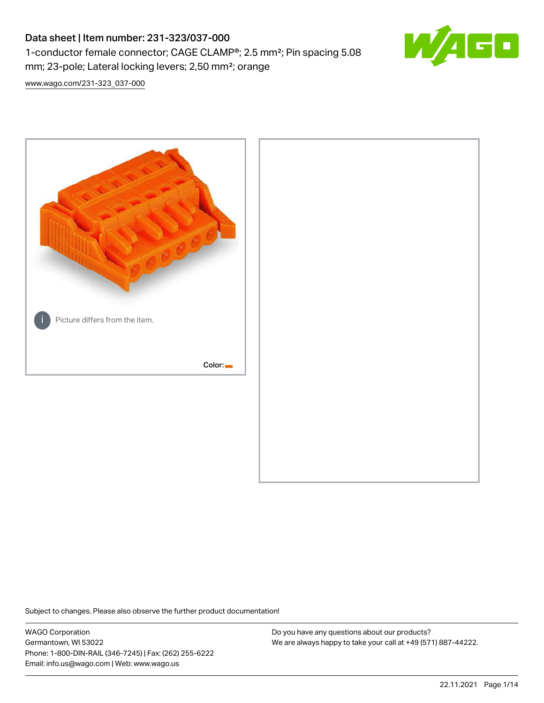# Data sheet | Item number: 231-323/037-000 1-conductor female connector; CAGE CLAMP®; 2.5 mm²; Pin spacing 5.08 mm; 23-pole; Lateral locking levers; 2,50 mm²; orange



[www.wago.com/231-323\\_037-000](http://www.wago.com/231-323_037-000)



Subject to changes. Please also observe the further product documentation!

WAGO Corporation Germantown, WI 53022 Phone: 1-800-DIN-RAIL (346-7245) | Fax: (262) 255-6222 Email: info.us@wago.com | Web: www.wago.us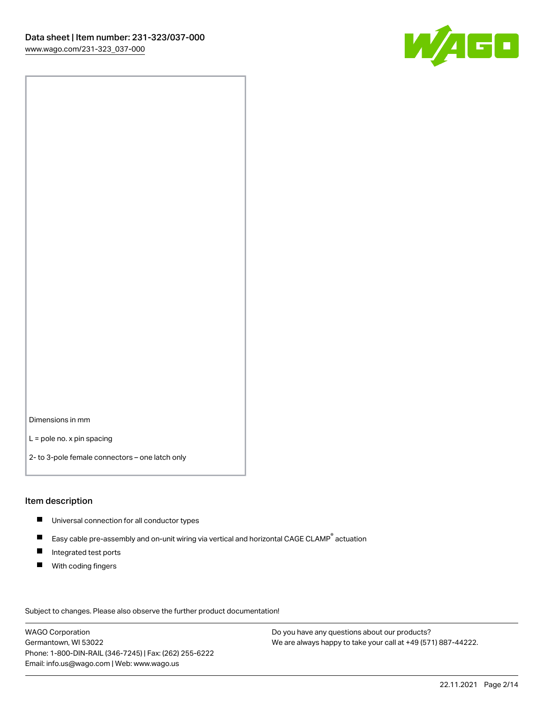

Dimensions in mm

L = pole no. x pin spacing

2- to 3-pole female connectors – one latch only

#### Item description

- **Universal connection for all conductor types**
- Easy cable pre-assembly and on-unit wiring via vertical and horizontal CAGE CLAMP<sup>®</sup> actuation  $\blacksquare$
- $\blacksquare$ Integrated test ports
- $\blacksquare$ With coding fingers

Subject to changes. Please also observe the further product documentation! Data

WAGO Corporation Germantown, WI 53022 Phone: 1-800-DIN-RAIL (346-7245) | Fax: (262) 255-6222 Email: info.us@wago.com | Web: www.wago.us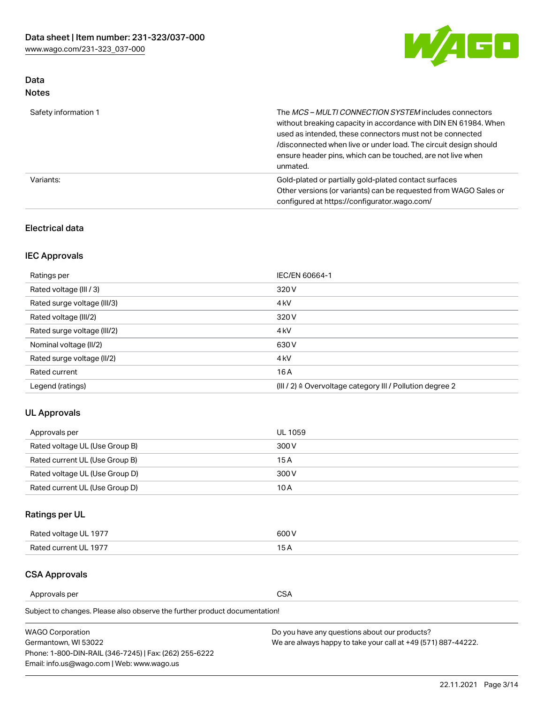

## Data Notes

| Safety information 1 | The MCS-MULTI CONNECTION SYSTEM includes connectors<br>without breaking capacity in accordance with DIN EN 61984. When<br>used as intended, these connectors must not be connected<br>/disconnected when live or under load. The circuit design should<br>ensure header pins, which can be touched, are not live when<br>unmated. |
|----------------------|-----------------------------------------------------------------------------------------------------------------------------------------------------------------------------------------------------------------------------------------------------------------------------------------------------------------------------------|
| Variants:            | Gold-plated or partially gold-plated contact surfaces<br>Other versions (or variants) can be requested from WAGO Sales or<br>configured at https://configurator.wago.com/                                                                                                                                                         |

### Electrical data

## IEC Approvals

| Ratings per                 | IEC/EN 60664-1                                                        |
|-----------------------------|-----------------------------------------------------------------------|
| Rated voltage (III / 3)     | 320 V                                                                 |
| Rated surge voltage (III/3) | 4 <sub>k</sub> V                                                      |
| Rated voltage (III/2)       | 320 V                                                                 |
| Rated surge voltage (III/2) | 4 <sub>k</sub> V                                                      |
| Nominal voltage (II/2)      | 630 V                                                                 |
| Rated surge voltage (II/2)  | 4 <sub>k</sub> V                                                      |
| Rated current               | 16 A                                                                  |
| Legend (ratings)            | $(III / 2)$ $\triangle$ Overvoltage category III / Pollution degree 2 |

### UL Approvals

| Approvals per                  | UL 1059 |
|--------------------------------|---------|
| Rated voltage UL (Use Group B) | 300 V   |
| Rated current UL (Use Group B) | 15 A    |
| Rated voltage UL (Use Group D) | 300 V   |
| Rated current UL (Use Group D) | 10 A    |

## Ratings per UL

| Rated voltage UL 1977 | 300 V |
|-----------------------|-------|
| Rated current UL 1977 |       |

#### CSA Approvals

Approvals per CSA

Subject to changes. Please also observe the further product documentation!

| <b>WAGO Corporation</b>                                | Do you have any questions about our products?                 |
|--------------------------------------------------------|---------------------------------------------------------------|
| Germantown, WI 53022                                   | We are always happy to take your call at +49 (571) 887-44222. |
| Phone: 1-800-DIN-RAIL (346-7245)   Fax: (262) 255-6222 |                                                               |
| Email: info.us@wago.com   Web: www.wago.us             |                                                               |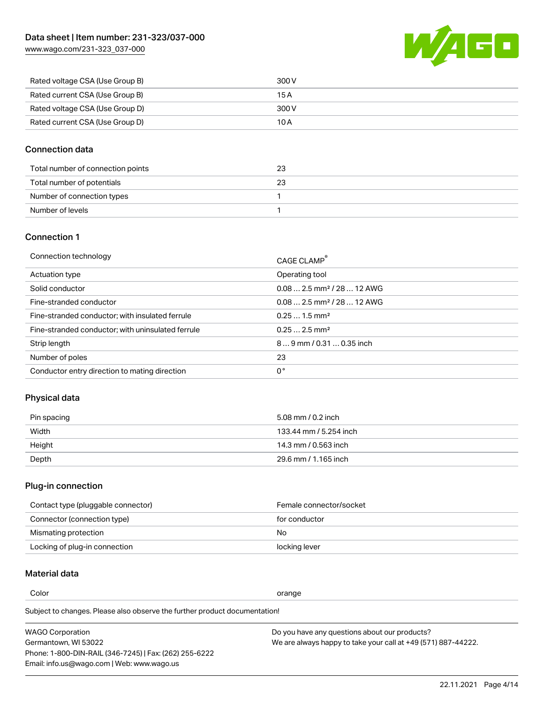

| Rated voltage CSA (Use Group B) | 300 V |
|---------------------------------|-------|
| Rated current CSA (Use Group B) | 15 A  |
| Rated voltage CSA (Use Group D) | 300 V |
| Rated current CSA (Use Group D) | 10 A  |

### Connection data

| Total number of connection points | 23 |
|-----------------------------------|----|
| Total number of potentials        | 23 |
| Number of connection types        |    |
| Number of levels                  |    |

### Connection 1

| Operating tool<br>Actuation type<br>$0.082.5$ mm <sup>2</sup> / 28  12 AWG<br>Solid conductor<br>$0.082.5$ mm <sup>2</sup> / 28  12 AWG<br>Fine-stranded conductor<br>$0.251.5$ mm <sup>2</sup><br>Fine-stranded conductor; with insulated ferrule<br>$0.252.5$ mm <sup>2</sup><br>Fine-stranded conductor; with uninsulated ferrule<br>Strip length<br>$89$ mm $/$ 0.31  0.35 inch<br>Number of poles<br>23<br>0°<br>Conductor entry direction to mating direction | Connection technology | CAGE CLAMP <sup>®</sup> |
|---------------------------------------------------------------------------------------------------------------------------------------------------------------------------------------------------------------------------------------------------------------------------------------------------------------------------------------------------------------------------------------------------------------------------------------------------------------------|-----------------------|-------------------------|
|                                                                                                                                                                                                                                                                                                                                                                                                                                                                     |                       |                         |
|                                                                                                                                                                                                                                                                                                                                                                                                                                                                     |                       |                         |
|                                                                                                                                                                                                                                                                                                                                                                                                                                                                     |                       |                         |
|                                                                                                                                                                                                                                                                                                                                                                                                                                                                     |                       |                         |
|                                                                                                                                                                                                                                                                                                                                                                                                                                                                     |                       |                         |
|                                                                                                                                                                                                                                                                                                                                                                                                                                                                     |                       |                         |
|                                                                                                                                                                                                                                                                                                                                                                                                                                                                     |                       |                         |
|                                                                                                                                                                                                                                                                                                                                                                                                                                                                     |                       |                         |

### Physical data

| Pin spacing | 5.08 mm / 0.2 inch     |
|-------------|------------------------|
| Width       | 133.44 mm / 5.254 inch |
| Height      | 14.3 mm / 0.563 inch   |
| Depth       | 29.6 mm / 1.165 inch   |

## Plug-in connection

| Contact type (pluggable connector) | Female connector/socket |
|------------------------------------|-------------------------|
| Connector (connection type)        | for conductor           |
| Mismating protection               | No.                     |
| Locking of plug-in connection      | locking lever           |

## Material data

Color contracts and contracts of the contracts of the contracts of the contracts of the contracts of the contracts of the contracts of the contracts of the contracts of the contracts of the contracts of the contracts of th

Subject to changes. Please also observe the further product documentation! Material group I

| <b>WAGO Corporation</b>                                | Do you have any questions about our products?                 |
|--------------------------------------------------------|---------------------------------------------------------------|
| Germantown, WI 53022                                   | We are always happy to take your call at +49 (571) 887-44222. |
| Phone: 1-800-DIN-RAIL (346-7245)   Fax: (262) 255-6222 |                                                               |
| Email: info.us@wago.com   Web: www.wago.us             |                                                               |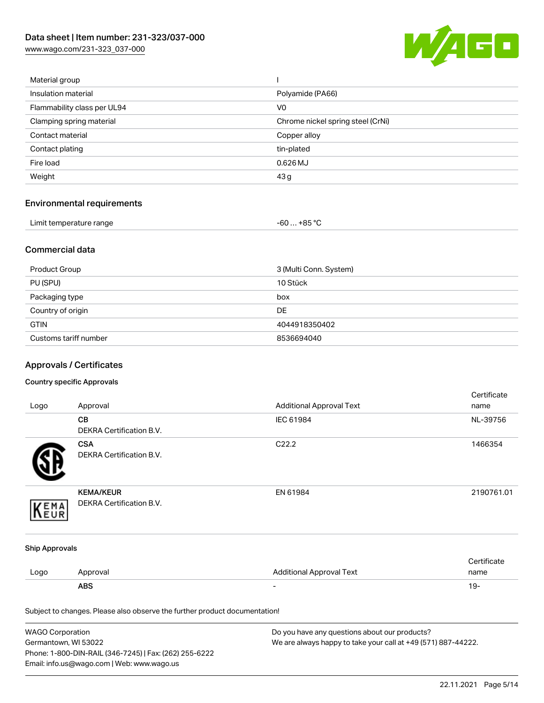

| Material group              |                                   |
|-----------------------------|-----------------------------------|
| Insulation material         | Polyamide (PA66)                  |
| Flammability class per UL94 | V <sub>0</sub>                    |
| Clamping spring material    | Chrome nickel spring steel (CrNi) |
| Contact material            | Copper alloy                      |
| Contact plating             | tin-plated                        |
| Fire load                   | $0.626$ MJ                        |
| Weight                      | 43 g                              |
|                             |                                   |

## Environmental requirements

| Limit temperature range | . +85 °ົ<br>- 60  . |
|-------------------------|---------------------|
|-------------------------|---------------------|

### Commercial data

| Product Group         | 3 (Multi Conn. System) |
|-----------------------|------------------------|
| PU (SPU)              | 10 Stück               |
| Packaging type        | box                    |
| Country of origin     | <b>DE</b>              |
| <b>GTIN</b>           | 4044918350402          |
| Customs tariff number | 8536694040             |

## Approvals / Certificates

#### Country specific Approvals

| Logo                  | Approval                                                                   | <b>Additional Approval Text</b> | Certificate<br>name |
|-----------------------|----------------------------------------------------------------------------|---------------------------------|---------------------|
|                       | CВ<br>DEKRA Certification B.V.                                             | IEC 61984                       | NL-39756            |
|                       | <b>CSA</b><br><b>DEKRA Certification B.V.</b>                              | C22.2                           | 1466354             |
| EMA                   | <b>KEMA/KEUR</b><br>DEKRA Certification B.V.                               | EN 61984                        | 2190761.01          |
| <b>Ship Approvals</b> |                                                                            |                                 |                     |
| Logo                  | Approval                                                                   | <b>Additional Approval Text</b> | Certificate<br>name |
|                       | <b>ABS</b>                                                                 |                                 | $19 -$              |
|                       | Subject to changes. Please also observe the further product documentation! |                                 |                     |

| <b>WAGO Corporation</b>                                | Do you have any questions about our products?                 |
|--------------------------------------------------------|---------------------------------------------------------------|
| Germantown, WI 53022                                   | We are always happy to take your call at +49 (571) 887-44222. |
| Phone: 1-800-DIN-RAIL (346-7245)   Fax: (262) 255-6222 |                                                               |
| Email: info.us@wago.com   Web: www.wago.us             |                                                               |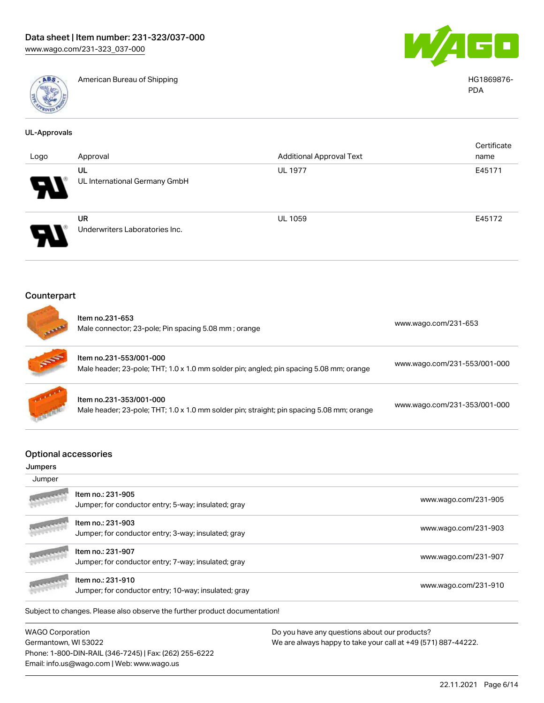

American Bureau of Shipping HG1869876-



PDA

| <b>UL-Approvals</b>                              |                                                                                                                      |                                 |                              |
|--------------------------------------------------|----------------------------------------------------------------------------------------------------------------------|---------------------------------|------------------------------|
| Logo                                             | Approval                                                                                                             | <b>Additional Approval Text</b> | Certificate<br>name          |
|                                                  | UL<br>UL International Germany GmbH                                                                                  | <b>UL 1977</b>                  | E45171                       |
|                                                  | <b>UR</b><br>Underwriters Laboratories Inc.                                                                          | <b>UL 1059</b>                  | E45172                       |
| Counterpart                                      |                                                                                                                      |                                 |                              |
|                                                  | Item no.231-653<br>Male connector; 23-pole; Pin spacing 5.08 mm; orange                                              |                                 | www.wago.com/231-653         |
|                                                  | Item no.231-553/001-000<br>Male header; 23-pole; THT; 1.0 x 1.0 mm solder pin; angled; pin spacing 5.08 mm; orange   |                                 | www.wago.com/231-553/001-000 |
|                                                  | Item no.231-353/001-000<br>Male header; 23-pole; THT; 1.0 x 1.0 mm solder pin; straight; pin spacing 5.08 mm; orange |                                 | www.wago.com/231-353/001-000 |
| <b>Optional accessories</b><br>Jumpers<br>Jumper |                                                                                                                      |                                 |                              |
|                                                  | Item no.: 231-905<br>Jumper; for conductor entry; 5-way; insulated; gray                                             |                                 | www.wago.com/231-905         |
|                                                  | Item no.: 231-903<br>Jumper; for conductor entry; 3-way; insulated; gray                                             |                                 | www.wago.com/231-903         |
|                                                  | Item no.: 231-907<br>Jumper; for conductor entry; 7-way; insulated; gray                                             |                                 | www.wago.com/231-907         |
|                                                  | Item no.: 231-910<br>Jumper; for conductor entry; 10-way; insulated; gray                                            |                                 | www.wago.com/231-910         |
|                                                  |                                                                                                                      |                                 |                              |

Subject to changes. Please also observe the further product documentation!

WAGO Corporation Germantown, WI 53022 Phone: 1-800-DIN-RAIL (346-7245) | Fax: (262) 255-6222 Email: info.us@wago.com | Web: www.wago.us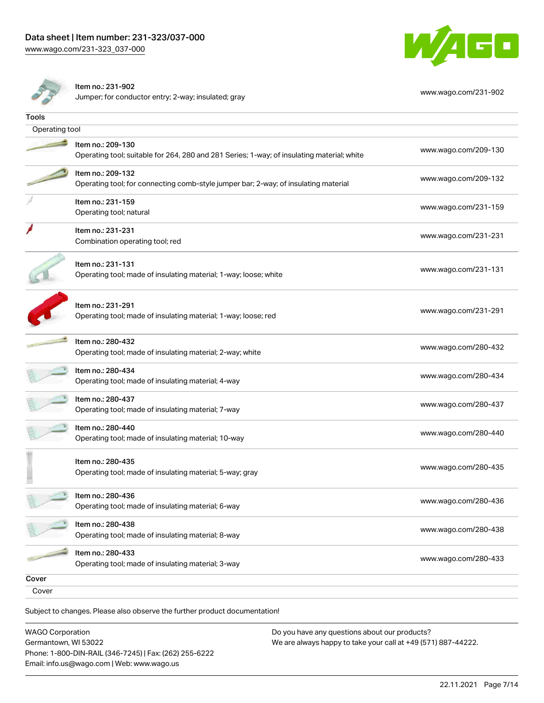



Item no.: 231-902

Jumper; for conductor entry; 2-way; insulated; gray [www.wago.com/231-902](http://www.wago.com/231-902)

| Tools          |                                                                                                                 |                      |
|----------------|-----------------------------------------------------------------------------------------------------------------|----------------------|
| Operating tool |                                                                                                                 |                      |
|                | Item no.: 209-130<br>Operating tool; suitable for 264, 280 and 281 Series; 1-way; of insulating material; white | www.wago.com/209-130 |
|                | Item no.: 209-132<br>Operating tool; for connecting comb-style jumper bar; 2-way; of insulating material        | www.wago.com/209-132 |
|                | Item no.: 231-159<br>Operating tool; natural                                                                    | www.wago.com/231-159 |
|                | Item no.: 231-231<br>Combination operating tool; red                                                            | www.wago.com/231-231 |
|                | Item no.: 231-131<br>Operating tool; made of insulating material; 1-way; loose; white                           | www.wago.com/231-131 |
|                | Item no.: 231-291<br>Operating tool; made of insulating material; 1-way; loose; red                             | www.wago.com/231-291 |
|                | Item no.: 280-432<br>Operating tool; made of insulating material; 2-way; white                                  | www.wago.com/280-432 |
|                | Item no.: 280-434<br>Operating tool; made of insulating material; 4-way                                         | www.wago.com/280-434 |
|                | Item no.: 280-437<br>Operating tool; made of insulating material; 7-way                                         | www.wago.com/280-437 |
|                | Item no.: 280-440<br>Operating tool; made of insulating material; 10-way                                        | www.wago.com/280-440 |
|                | Item no.: 280-435<br>Operating tool; made of insulating material; 5-way; gray                                   | www.wago.com/280-435 |
|                | Item no.: 280-436<br>Operating tool; made of insulating material; 6-way                                         | www.wago.com/280-436 |
|                | Item no.: 280-438<br>Operating tool; made of insulating material; 8-way                                         | www.wago.com/280-438 |
|                | Item no.: 280-433<br>Operating tool; made of insulating material; 3-way                                         | www.wago.com/280-433 |
| Cover          |                                                                                                                 |                      |
| Cover          |                                                                                                                 |                      |
|                |                                                                                                                 |                      |

Subject to changes. Please also observe the further product documentation!

WAGO Corporation Germantown, WI 53022 Phone: 1-800-DIN-RAIL (346-7245) | Fax: (262) 255-6222 Email: info.us@wago.com | Web: www.wago.us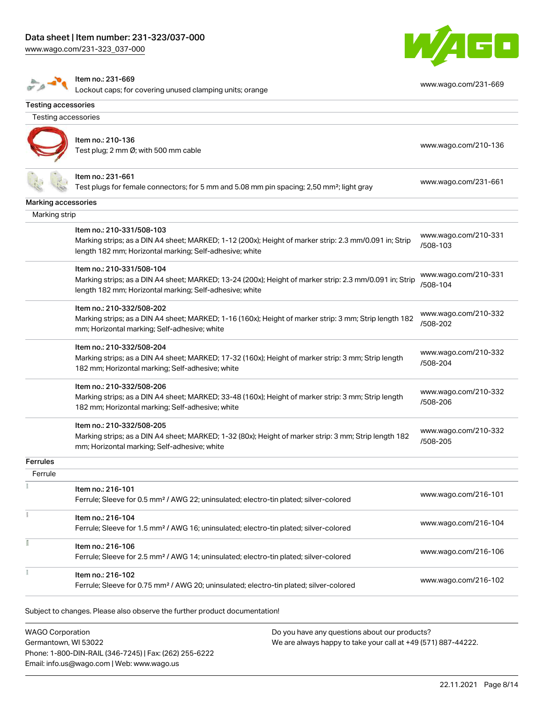



#### Item no.: 231-669

Lockout caps; for covering unused clamping units; orange [www.wago.com/231-669](http://www.wago.com/231-669)

| Testing accessories |                                                                                                         |                      |
|---------------------|---------------------------------------------------------------------------------------------------------|----------------------|
|                     |                                                                                                         |                      |
|                     | Item no.: 210-136                                                                                       |                      |
|                     | Test plug; 2 mm Ø; with 500 mm cable                                                                    | www.wago.com/210-136 |
|                     |                                                                                                         |                      |
|                     | Item no.: 231-661                                                                                       | www.wago.com/231-661 |
|                     | Test plugs for female connectors; for 5 mm and 5.08 mm pin spacing; 2,50 mm <sup>2</sup> ; light gray   |                      |
| Marking accessories |                                                                                                         |                      |
| Marking strip       |                                                                                                         |                      |
|                     | Item no.: 210-331/508-103                                                                               | www.wago.com/210-331 |
|                     | Marking strips; as a DIN A4 sheet; MARKED; 1-12 (200x); Height of marker strip: 2.3 mm/0.091 in; Strip  | /508-103             |
|                     | length 182 mm; Horizontal marking; Self-adhesive; white                                                 |                      |
|                     | Item no.: 210-331/508-104                                                                               |                      |
|                     | Marking strips; as a DIN A4 sheet; MARKED; 13-24 (200x); Height of marker strip: 2.3 mm/0.091 in; Strip | www.wago.com/210-331 |
|                     | length 182 mm; Horizontal marking; Self-adhesive; white                                                 | /508-104             |
|                     | Item no.: 210-332/508-202                                                                               |                      |
|                     | Marking strips; as a DIN A4 sheet; MARKED; 1-16 (160x); Height of marker strip: 3 mm; Strip length 182  | www.wago.com/210-332 |
|                     | mm; Horizontal marking; Self-adhesive; white                                                            | /508-202             |
|                     | Item no.: 210-332/508-204                                                                               |                      |
|                     | Marking strips; as a DIN A4 sheet; MARKED; 17-32 (160x); Height of marker strip: 3 mm; Strip length     | www.wago.com/210-332 |
|                     | 182 mm; Horizontal marking; Self-adhesive; white                                                        | /508-204             |
|                     | Item no.: 210-332/508-206                                                                               |                      |
|                     | Marking strips; as a DIN A4 sheet; MARKED; 33-48 (160x); Height of marker strip: 3 mm; Strip length     | www.wago.com/210-332 |
|                     | 182 mm; Horizontal marking; Self-adhesive; white                                                        | /508-206             |
|                     | Item no.: 210-332/508-205                                                                               |                      |
|                     | Marking strips; as a DIN A4 sheet; MARKED; 1-32 (80x); Height of marker strip: 3 mm; Strip length 182   | www.wago.com/210-332 |
|                     | mm; Horizontal marking; Self-adhesive; white                                                            | /508-205             |
| <b>Ferrules</b>     |                                                                                                         |                      |
| Ferrule             |                                                                                                         |                      |
|                     | Item no.: 216-101                                                                                       | www.wago.com/216-101 |
|                     | Ferrule; Sleeve for 0.5 mm <sup>2</sup> / AWG 22; uninsulated; electro-tin plated; silver-colored       |                      |
|                     | Item no.: 216-104                                                                                       |                      |
|                     | Ferrule; Sleeve for 1.5 mm <sup>2</sup> / AWG 16; uninsulated; electro-tin plated; silver-colored       | www.wago.com/216-104 |
|                     | Item no.: 216-106                                                                                       |                      |
|                     | Ferrule; Sleeve for 2.5 mm <sup>2</sup> / AWG 14; uninsulated; electro-tin plated; silver-colored       | www.wago.com/216-106 |
|                     | Item no.: 216-102                                                                                       |                      |
|                     | Ferrule; Sleeve for 0.75 mm <sup>2</sup> / AWG 20; uninsulated; electro-tin plated; silver-colored      | www.wago.com/216-102 |

WAGO Corporation Germantown, WI 53022 Phone: 1-800-DIN-RAIL (346-7245) | Fax: (262) 255-6222 Email: info.us@wago.com | Web: www.wago.us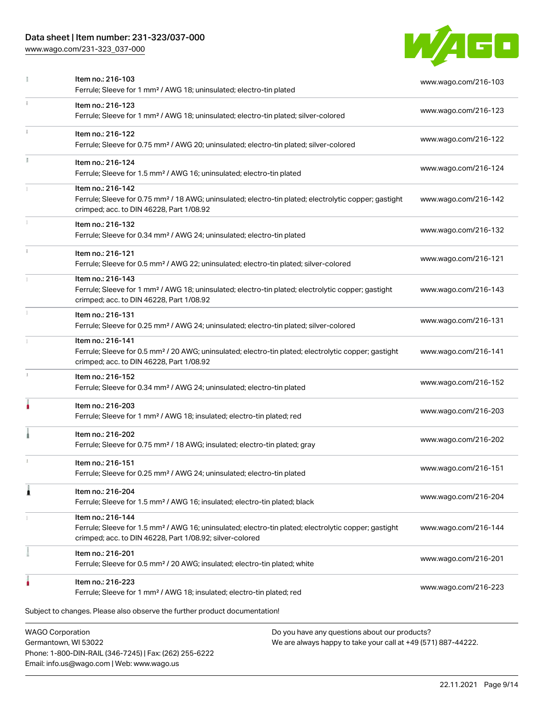## Data sheet | Item number: 231-323/037-000

Phone: 1-800-DIN-RAIL (346-7245) | Fax: (262) 255-6222

Email: info.us@wago.com | Web: www.wago.us

[www.wago.com/231-323\\_037-000](http://www.wago.com/231-323_037-000)



|    | Item no.: 216-103<br>Ferrule; Sleeve for 1 mm <sup>2</sup> / AWG 18; uninsulated; electro-tin plated                                                                                              |                                                                                                                | www.wago.com/216-103 |
|----|---------------------------------------------------------------------------------------------------------------------------------------------------------------------------------------------------|----------------------------------------------------------------------------------------------------------------|----------------------|
| ĩ. | Item no.: 216-123<br>Ferrule; Sleeve for 1 mm <sup>2</sup> / AWG 18; uninsulated; electro-tin plated; silver-colored                                                                              |                                                                                                                | www.wago.com/216-123 |
|    | Item no.: 216-122<br>Ferrule; Sleeve for 0.75 mm <sup>2</sup> / AWG 20; uninsulated; electro-tin plated; silver-colored                                                                           |                                                                                                                | www.wago.com/216-122 |
|    | Item no.: 216-124<br>Ferrule; Sleeve for 1.5 mm <sup>2</sup> / AWG 16; uninsulated; electro-tin plated                                                                                            |                                                                                                                | www.wago.com/216-124 |
|    | Item no.: 216-142<br>Ferrule; Sleeve for 0.75 mm <sup>2</sup> / 18 AWG; uninsulated; electro-tin plated; electrolytic copper; gastight<br>crimped; acc. to DIN 46228, Part 1/08.92                |                                                                                                                | www.wago.com/216-142 |
|    | Item no.: 216-132<br>Ferrule; Sleeve for 0.34 mm <sup>2</sup> / AWG 24; uninsulated; electro-tin plated                                                                                           |                                                                                                                | www.wago.com/216-132 |
|    | Item no.: 216-121<br>Ferrule; Sleeve for 0.5 mm <sup>2</sup> / AWG 22; uninsulated; electro-tin plated; silver-colored                                                                            |                                                                                                                | www.wago.com/216-121 |
|    | Item no.: 216-143<br>Ferrule; Sleeve for 1 mm <sup>2</sup> / AWG 18; uninsulated; electro-tin plated; electrolytic copper; gastight<br>crimped; acc. to DIN 46228, Part 1/08.92                   |                                                                                                                | www.wago.com/216-143 |
|    | Item no.: 216-131<br>Ferrule; Sleeve for 0.25 mm <sup>2</sup> / AWG 24; uninsulated; electro-tin plated; silver-colored                                                                           |                                                                                                                | www.wago.com/216-131 |
|    | Item no.: 216-141<br>Ferrule; Sleeve for 0.5 mm <sup>2</sup> / 20 AWG; uninsulated; electro-tin plated; electrolytic copper; gastight<br>crimped; acc. to DIN 46228, Part 1/08.92                 |                                                                                                                | www.wago.com/216-141 |
|    | Item no.: 216-152<br>Ferrule; Sleeve for 0.34 mm <sup>2</sup> / AWG 24; uninsulated; electro-tin plated                                                                                           |                                                                                                                | www.wago.com/216-152 |
|    | Item no.: 216-203<br>Ferrule; Sleeve for 1 mm <sup>2</sup> / AWG 18; insulated; electro-tin plated; red                                                                                           |                                                                                                                | www.wago.com/216-203 |
|    | Item no.: 216-202<br>Ferrule; Sleeve for 0.75 mm <sup>2</sup> / 18 AWG; insulated; electro-tin plated; gray                                                                                       |                                                                                                                | www.wago.com/216-202 |
|    | Item no.: 216-151<br>Ferrule; Sleeve for 0.25 mm <sup>2</sup> / AWG 24; uninsulated; electro-tin plated                                                                                           |                                                                                                                | www.wago.com/216-151 |
|    | Item no.: 216-204<br>Ferrule; Sleeve for 1.5 mm <sup>2</sup> / AWG 16; insulated; electro-tin plated; black                                                                                       |                                                                                                                | www.wago.com/216-204 |
|    | Item no.: 216-144<br>Ferrule; Sleeve for 1.5 mm <sup>2</sup> / AWG 16; uninsulated; electro-tin plated; electrolytic copper; gastight<br>crimped; acc. to DIN 46228, Part 1/08.92; silver-colored |                                                                                                                | www.wago.com/216-144 |
|    | Item no.: 216-201<br>Ferrule; Sleeve for 0.5 mm <sup>2</sup> / 20 AWG; insulated; electro-tin plated; white                                                                                       |                                                                                                                | www.wago.com/216-201 |
|    | Item no.: 216-223<br>Ferrule; Sleeve for 1 mm <sup>2</sup> / AWG 18; insulated; electro-tin plated; red                                                                                           |                                                                                                                | www.wago.com/216-223 |
|    | Subject to changes. Please also observe the further product documentation!                                                                                                                        |                                                                                                                |                      |
|    | <b>WAGO Corporation</b><br>Germantown, WI 53022                                                                                                                                                   | Do you have any questions about our products?<br>We are always happy to take your call at +49 (571) 887-44222. |                      |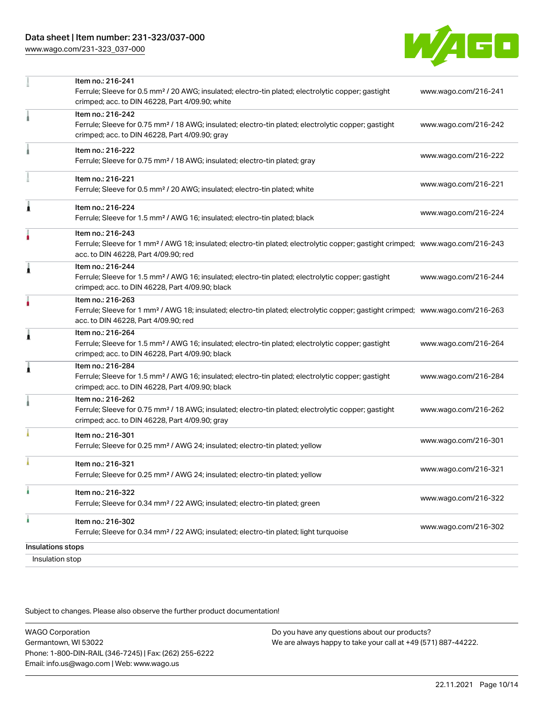

|                   | Item no.: 216-241                                                                                                                                                                  |                      |
|-------------------|------------------------------------------------------------------------------------------------------------------------------------------------------------------------------------|----------------------|
|                   | Ferrule; Sleeve for 0.5 mm <sup>2</sup> / 20 AWG; insulated; electro-tin plated; electrolytic copper; gastight<br>crimped; acc. to DIN 46228, Part 4/09.90; white                  | www.wago.com/216-241 |
|                   | Item no.: 216-242                                                                                                                                                                  |                      |
|                   | Ferrule; Sleeve for 0.75 mm <sup>2</sup> / 18 AWG; insulated; electro-tin plated; electrolytic copper; gastight<br>crimped; acc. to DIN 46228, Part 4/09.90; gray                  | www.wago.com/216-242 |
|                   | Item no.: 216-222                                                                                                                                                                  |                      |
|                   | Ferrule; Sleeve for 0.75 mm <sup>2</sup> / 18 AWG; insulated; electro-tin plated; gray                                                                                             | www.wago.com/216-222 |
|                   | Item no.: 216-221                                                                                                                                                                  |                      |
|                   | Ferrule; Sleeve for 0.5 mm <sup>2</sup> / 20 AWG; insulated; electro-tin plated; white                                                                                             | www.wago.com/216-221 |
|                   | Item no.: 216-224                                                                                                                                                                  |                      |
|                   | Ferrule; Sleeve for 1.5 mm <sup>2</sup> / AWG 16; insulated; electro-tin plated; black                                                                                             | www.wago.com/216-224 |
|                   | Item no.: 216-243                                                                                                                                                                  |                      |
|                   | Ferrule; Sleeve for 1 mm <sup>2</sup> / AWG 18; insulated; electro-tin plated; electrolytic copper; gastight crimped; www.wago.com/216-243<br>acc. to DIN 46228, Part 4/09.90; red |                      |
| Â                 | Item no.: 216-244                                                                                                                                                                  |                      |
|                   | Ferrule; Sleeve for 1.5 mm <sup>2</sup> / AWG 16; insulated; electro-tin plated; electrolytic copper; gastight<br>crimped; acc. to DIN 46228, Part 4/09.90; black                  | www.wago.com/216-244 |
|                   | Item no.: 216-263                                                                                                                                                                  |                      |
|                   | Ferrule; Sleeve for 1 mm <sup>2</sup> / AWG 18; insulated; electro-tin plated; electrolytic copper; gastight crimped; www.wago.com/216-263<br>acc. to DIN 46228, Part 4/09.90; red |                      |
| 1                 | Item no.: 216-264                                                                                                                                                                  |                      |
|                   | Ferrule; Sleeve for 1.5 mm <sup>2</sup> / AWG 16; insulated; electro-tin plated; electrolytic copper; gastight<br>crimped; acc. to DIN 46228, Part 4/09.90; black                  | www.wago.com/216-264 |
| 1                 | Item no.: 216-284                                                                                                                                                                  |                      |
|                   | Ferrule; Sleeve for 1.5 mm <sup>2</sup> / AWG 16; insulated; electro-tin plated; electrolytic copper; gastight<br>crimped; acc. to DIN 46228, Part 4/09.90; black                  | www.wago.com/216-284 |
|                   | Item no.: 216-262                                                                                                                                                                  |                      |
|                   | Ferrule; Sleeve for 0.75 mm <sup>2</sup> / 18 AWG; insulated; electro-tin plated; electrolytic copper; gastight<br>crimped; acc. to DIN 46228, Part 4/09.90; gray                  | www.wago.com/216-262 |
|                   | Item no.: 216-301                                                                                                                                                                  |                      |
|                   | Ferrule; Sleeve for 0.25 mm <sup>2</sup> / AWG 24; insulated; electro-tin plated; yellow                                                                                           | www.wago.com/216-301 |
|                   | Item no.: 216-321                                                                                                                                                                  |                      |
|                   | Ferrule; Sleeve for 0.25 mm <sup>2</sup> / AWG 24; insulated; electro-tin plated; yellow                                                                                           | www.wago.com/216-321 |
|                   | Item no.: 216-322                                                                                                                                                                  |                      |
|                   | Ferrule; Sleeve for 0.34 mm <sup>2</sup> / 22 AWG; insulated; electro-tin plated; green                                                                                            | www.wago.com/216-322 |
| ٠                 | Item no.: 216-302                                                                                                                                                                  | www.wago.com/216-302 |
|                   | Ferrule; Sleeve for 0.34 mm <sup>2</sup> / 22 AWG; insulated; electro-tin plated; light turquoise                                                                                  |                      |
| Insulations stops |                                                                                                                                                                                    |                      |
| Insulation stop   |                                                                                                                                                                                    |                      |

Subject to changes. Please also observe the further product documentation!

WAGO Corporation Germantown, WI 53022 Phone: 1-800-DIN-RAIL (346-7245) | Fax: (262) 255-6222 Email: info.us@wago.com | Web: www.wago.us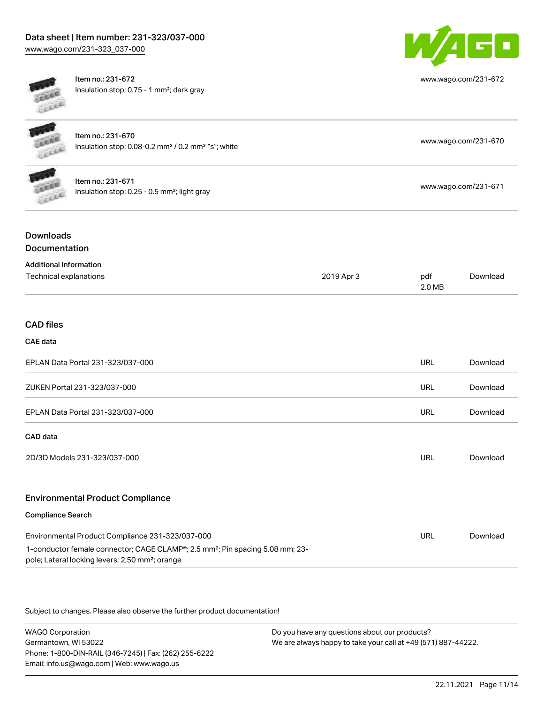## Data sheet | Item number: 231-323/037-000 [www.wago.com/231-323\\_037-000](http://www.wago.com/231-323_037-000)



[www.wago.com/231-672](http://www.wago.com/231-672)

[www.wago.com/231-670](http://www.wago.com/231-670)

[www.wago.com/231-671](http://www.wago.com/231-671)

Item no.: 231-672 Insulation stop; 0.75 - 1 mm²; dark gray

| Item no.: 231-670                                                               |
|---------------------------------------------------------------------------------|
| Insulation stop; $0.08$ -0.2 mm <sup>2</sup> / $0.2$ mm <sup>2</sup> "s"; white |



| ltem no.: 231-671                                          |
|------------------------------------------------------------|
| Insulation stop; $0.25 - 0.5$ mm <sup>2</sup> ; light gray |

## Downloads **Documentation**

| <b>Additional Information</b>           |            |               |          |
|-----------------------------------------|------------|---------------|----------|
| Technical explanations                  | 2019 Apr 3 | pdf<br>2.0 MB | Download |
|                                         |            |               |          |
| <b>CAD files</b>                        |            |               |          |
| CAE data                                |            |               |          |
| EPLAN Data Portal 231-323/037-000       |            | <b>URL</b>    | Download |
| ZUKEN Portal 231-323/037-000            |            | <b>URL</b>    | Download |
| EPLAN Data Portal 231-323/037-000       |            | URL           | Download |
| CAD data                                |            |               |          |
| 2D/3D Models 231-323/037-000            |            | <b>URL</b>    | Download |
| <b>Environmental Product Compliance</b> |            |               |          |

#### Compliance Search

| Environmental Product Compliance 231-323/037-000                                                                                                                      | URL | Download |
|-----------------------------------------------------------------------------------------------------------------------------------------------------------------------|-----|----------|
| 1-conductor female connector; CAGE CLAMP <sup>®</sup> ; 2.5 mm <sup>2</sup> ; Pin spacing 5.08 mm; 23-<br>pole; Lateral locking levers; 2,50 mm <sup>2</sup> ; orange |     |          |

Subject to changes. Please also observe the further product documentation!

WAGO Corporation Germantown, WI 53022 Phone: 1-800-DIN-RAIL (346-7245) | Fax: (262) 255-6222 Email: info.us@wago.com | Web: www.wago.us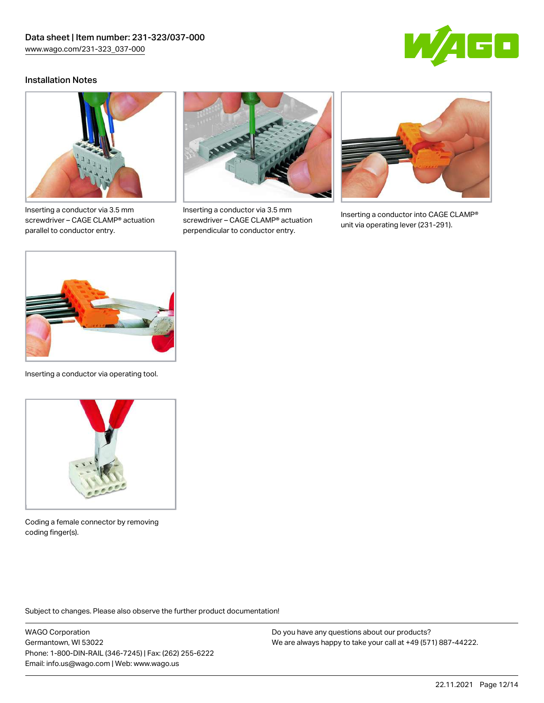

### Installation Notes



Inserting a conductor via 3.5 mm screwdriver – CAGE CLAMP® actuation parallel to conductor entry.



Inserting a conductor via 3.5 mm screwdriver – CAGE CLAMP® actuation perpendicular to conductor entry.



Inserting a conductor into CAGE CLAMP® unit via operating lever (231-291).



Inserting a conductor via operating tool.



Coding a female connector by removing coding finger(s).

Subject to changes. Please also observe the further product documentation!

WAGO Corporation Germantown, WI 53022 Phone: 1-800-DIN-RAIL (346-7245) | Fax: (262) 255-6222 Email: info.us@wago.com | Web: www.wago.us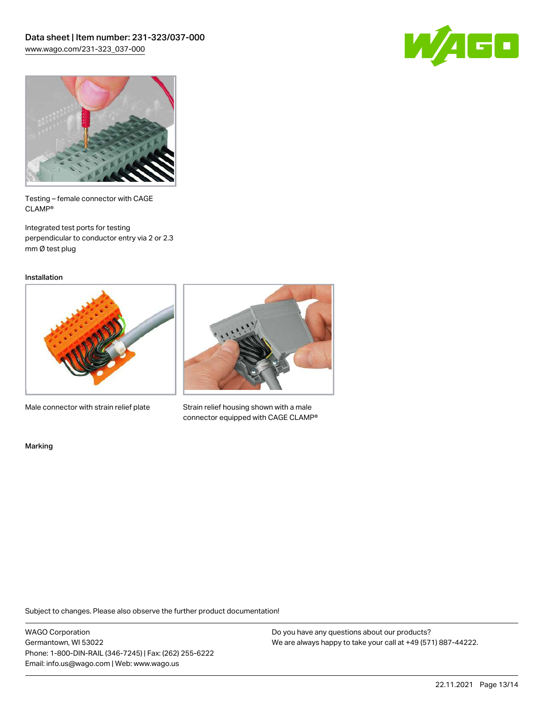



Testing – female connector with CAGE CLAMP®

Integrated test ports for testing perpendicular to conductor entry via 2 or 2.3 mm Ø test plug

Installation



Male connector with strain relief plate



Strain relief housing shown with a male connector equipped with CAGE CLAMP®

Marking

Subject to changes. Please also observe the further product documentation!

WAGO Corporation Germantown, WI 53022 Phone: 1-800-DIN-RAIL (346-7245) | Fax: (262) 255-6222 Email: info.us@wago.com | Web: www.wago.us